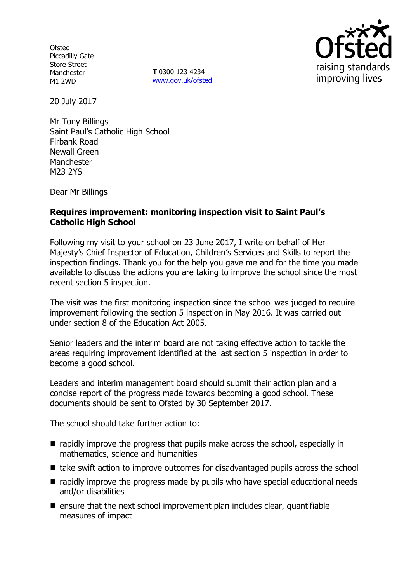**Ofsted** Piccadilly Gate Store Street Manchester M1 2WD

**T** 0300 123 4234 www.gov.uk/ofsted



20 July 2017

Mr Tony Billings Saint Paul's Catholic High School Firbank Road Newall Green **Manchester** M23 2YS

Dear Mr Billings

## **Requires improvement: monitoring inspection visit to Saint Paul's Catholic High School**

Following my visit to your school on 23 June 2017, I write on behalf of Her Majesty's Chief Inspector of Education, Children's Services and Skills to report the inspection findings. Thank you for the help you gave me and for the time you made available to discuss the actions you are taking to improve the school since the most recent section 5 inspection.

The visit was the first monitoring inspection since the school was judged to require improvement following the section 5 inspection in May 2016. It was carried out under section 8 of the Education Act 2005.

Senior leaders and the interim board are not taking effective action to tackle the areas requiring improvement identified at the last section 5 inspection in order to become a good school.

Leaders and interim management board should submit their action plan and a concise report of the progress made towards becoming a good school. These documents should be sent to Ofsted by 30 September 2017.

The school should take further action to:

- $\blacksquare$  rapidly improve the progress that pupils make across the school, especially in mathematics, science and humanities
- take swift action to improve outcomes for disadvantaged pupils across the school
- $\blacksquare$  rapidly improve the progress made by pupils who have special educational needs and/or disabilities
- $\blacksquare$  ensure that the next school improvement plan includes clear, quantifiable measures of impact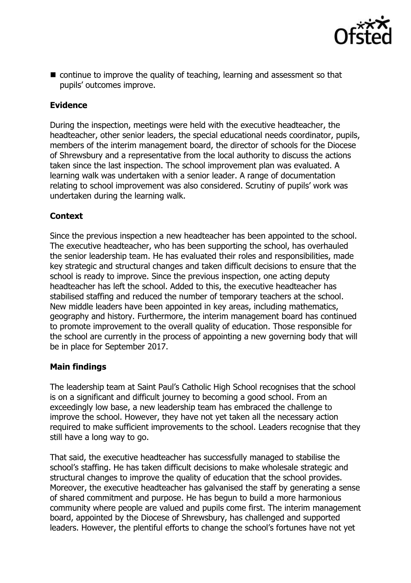

■ continue to improve the quality of teaching, learning and assessment so that pupils' outcomes improve.

## **Evidence**

During the inspection, meetings were held with the executive headteacher, the headteacher, other senior leaders, the special educational needs coordinator, pupils, members of the interim management board, the director of schools for the Diocese of Shrewsbury and a representative from the local authority to discuss the actions taken since the last inspection. The school improvement plan was evaluated. A learning walk was undertaken with a senior leader. A range of documentation relating to school improvement was also considered. Scrutiny of pupils' work was undertaken during the learning walk.

# **Context**

Since the previous inspection a new headteacher has been appointed to the school. The executive headteacher, who has been supporting the school, has overhauled the senior leadership team. He has evaluated their roles and responsibilities, made key strategic and structural changes and taken difficult decisions to ensure that the school is ready to improve. Since the previous inspection, one acting deputy headteacher has left the school. Added to this, the executive headteacher has stabilised staffing and reduced the number of temporary teachers at the school. New middle leaders have been appointed in key areas, including mathematics, geography and history. Furthermore, the interim management board has continued to promote improvement to the overall quality of education. Those responsible for the school are currently in the process of appointing a new governing body that will be in place for September 2017.

## **Main findings**

The leadership team at Saint Paul's Catholic High School recognises that the school is on a significant and difficult journey to becoming a good school. From an exceedingly low base, a new leadership team has embraced the challenge to improve the school. However, they have not yet taken all the necessary action required to make sufficient improvements to the school. Leaders recognise that they still have a long way to go.

That said, the executive headteacher has successfully managed to stabilise the school's staffing. He has taken difficult decisions to make wholesale strategic and structural changes to improve the quality of education that the school provides. Moreover, the executive headteacher has galvanised the staff by generating a sense of shared commitment and purpose. He has begun to build a more harmonious community where people are valued and pupils come first. The interim management board, appointed by the Diocese of Shrewsbury, has challenged and supported leaders. However, the plentiful efforts to change the school's fortunes have not yet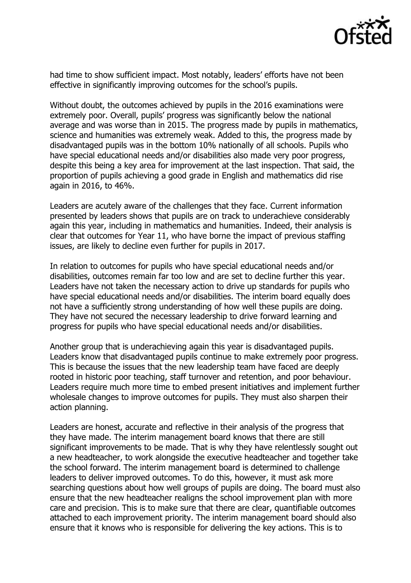

had time to show sufficient impact. Most notably, leaders' efforts have not been effective in significantly improving outcomes for the school's pupils.

Without doubt, the outcomes achieved by pupils in the 2016 examinations were extremely poor. Overall, pupils' progress was significantly below the national average and was worse than in 2015. The progress made by pupils in mathematics, science and humanities was extremely weak. Added to this, the progress made by disadvantaged pupils was in the bottom 10% nationally of all schools. Pupils who have special educational needs and/or disabilities also made very poor progress, despite this being a key area for improvement at the last inspection. That said, the proportion of pupils achieving a good grade in English and mathematics did rise again in 2016, to 46%.

Leaders are acutely aware of the challenges that they face. Current information presented by leaders shows that pupils are on track to underachieve considerably again this year, including in mathematics and humanities. Indeed, their analysis is clear that outcomes for Year 11, who have borne the impact of previous staffing issues, are likely to decline even further for pupils in 2017.

In relation to outcomes for pupils who have special educational needs and/or disabilities, outcomes remain far too low and are set to decline further this year. Leaders have not taken the necessary action to drive up standards for pupils who have special educational needs and/or disabilities. The interim board equally does not have a sufficiently strong understanding of how well these pupils are doing. They have not secured the necessary leadership to drive forward learning and progress for pupils who have special educational needs and/or disabilities.

Another group that is underachieving again this year is disadvantaged pupils. Leaders know that disadvantaged pupils continue to make extremely poor progress. This is because the issues that the new leadership team have faced are deeply rooted in historic poor teaching, staff turnover and retention, and poor behaviour. Leaders require much more time to embed present initiatives and implement further wholesale changes to improve outcomes for pupils. They must also sharpen their action planning.

Leaders are honest, accurate and reflective in their analysis of the progress that they have made. The interim management board knows that there are still significant improvements to be made. That is why they have relentlessly sought out a new headteacher, to work alongside the executive headteacher and together take the school forward. The interim management board is determined to challenge leaders to deliver improved outcomes. To do this, however, it must ask more searching questions about how well groups of pupils are doing. The board must also ensure that the new headteacher realigns the school improvement plan with more care and precision. This is to make sure that there are clear, quantifiable outcomes attached to each improvement priority. The interim management board should also ensure that it knows who is responsible for delivering the key actions. This is to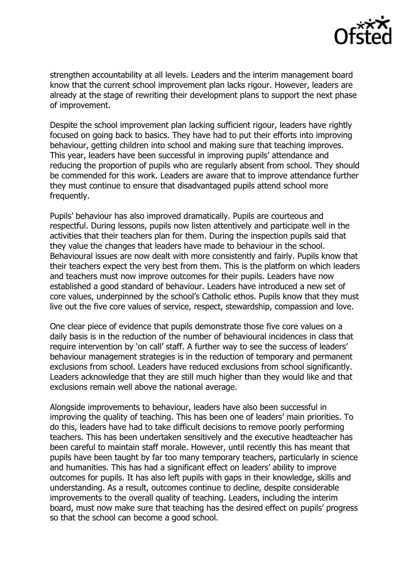

strengthen accountability at all levels. Leaders and the interim management board know that the current school improvement plan lacks rigour. However, leaders are already at the stage of rewriting their development plans to support the next phase of improvement.

Despite the school improvement plan lacking sufficient rigour, leaders have rightly focused on going back to basics. They have had to put their efforts into improving behaviour, getting children into school and making sure that teaching improves. This year, leaders have been successful in improving pupils' attendance and reducing the proportion of pupils who are regularly absent from school. They should be commended for this work. Leaders are aware that to improve attendance further they must continue to ensure that disadvantaged pupils attend school more frequently.

Pupils' behaviour has also improved dramatically. Pupils are courteous and respectful. During lessons, pupils now listen attentively and participate well in the activities that their teachers plan for them. During the inspection pupils said that they value the changes that leaders have made to behaviour in the school. Behavioural issues are now dealt with more consistently and fairly. Pupils know that their teachers expect the very best from them. This is the platform on which leaders and teachers must now improve outcomes for their pupils. Leaders have now established a good standard of behaviour. Leaders have introduced a new set of core values, underpinned by the school's Catholic ethos. Pupils know that they must live out the five core values of service, respect, stewardship, compassion and love.

One clear piece of evidence that pupils demonstrate those five core values on a daily basis is in the reduction of the number of behavioural incidences in class that require intervention by 'on call' staff. A further way to see the success of leaders' behaviour management strategies is in the reduction of temporary and permanent exclusions from school. Leaders have reduced exclusions from school significantly. Leaders acknowledge that they are still much higher than they would like and that exclusions remain well above the national average.

Alongside improvements to behaviour, leaders have also been successful in improving the quality of teaching. This has been one of leaders' main priorities. To do this, leaders have had to take difficult decisions to remove poorly performing teachers. This has been undertaken sensitively and the executive headteacher has been careful to maintain staff morale. However, until recently this has meant that pupils have been taught by far too many temporary teachers, particularly in science and humanities. This has had a significant effect on leaders' ability to improve outcomes for pupils. It has also left pupils with gaps in their knowledge, skills and understanding. As a result, outcomes continue to decline, despite considerable improvements to the overall quality of teaching. Leaders, including the interim board, must now make sure that teaching has the desired effect on pupils' progress so that the school can become a good school.